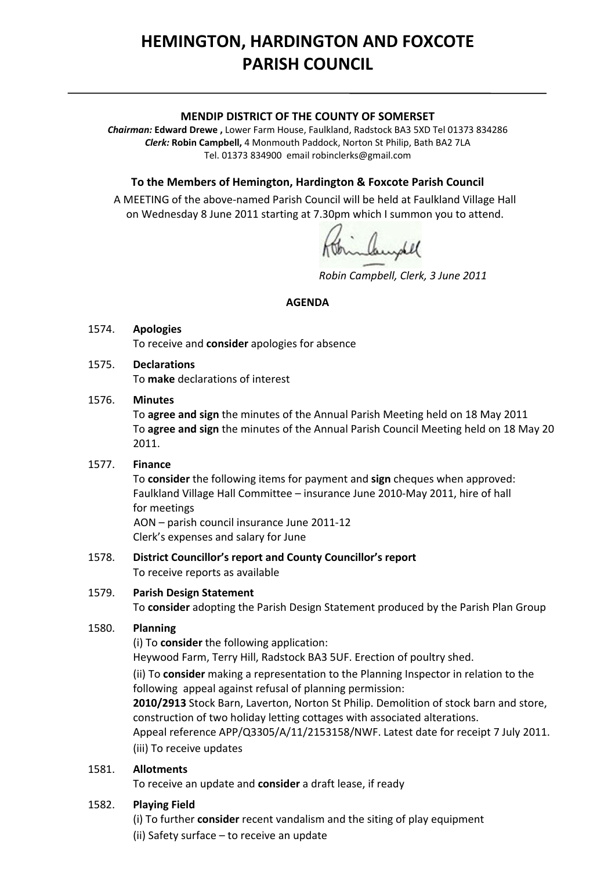# **HEMINGTON, HARDINGTON AND FOXCOTE PARISH COUNCIL**

#### **MENDIP DISTRICT OF THE COUNTY OF SOMERSET**

*Chairman:* **Edward Drewe ,** Lower Farm House, Faulkland, Radstock BA3 5XD Tel 01373 834286 *Clerk:* **Robin Campbell,** 4 Monmouth Paddock, Norton St Philip, Bath BA2 7LA Tel. 01373 834900 email [robinclerks@gmail.com](mailto:robinclerks@googlemail.com)

## **To the Members of Hemington, Hardington & Foxcote Parish Council**

A MEETING of the above‐named Parish Council will be held at Faulkland Village Hall on Wednesday 8 June 2011 starting at 7.30pm which I summon you to attend.

Campbel

*Robin Campbell, Clerk, 3 June 2011*

#### **AGENDA**

#### 1574. **Apologies**

To receive and **consider** apologies for absence

## 1575. **Declarations**

To **make** declarations of interest

#### 1576. **Minutes**

 To **agree and sign** the minutes of the Annual Parish Meeting held on 18 May 2011 To **agree and sign** the minutes of the Annual Parish Council Meeting held on 18 May 20 2011.

#### 1577. **Finance**

 To **consider** the following items for payment and **sign** cheques when approved: Faulkland Village Hall Committee – insurance June 2010‐May 2011, hire of hall for meetings AON – parish council insurance June 2011‐12

Clerk's expenses and salary for June

#### 1578. **District Councillor's report and County Councillor's report** To receive reports as available

## 1579. **Parish Design Statement**

To **consider** adopting the Parish Design Statement produced by the Parish Plan Group

## 1580. **Planning**

(i) To **consider** the following application:

Heywood Farm, Terry Hill, Radstock BA3 5UF. Erection of poultry shed.

(ii) To **consider** making a representation to the Planning Inspector in relation to the following appeal against refusal of planning permission:

**2010/2913** Stock Barn, Laverton, Norton St Philip. Demolition of stock barn and store, construction of two holiday letting cottages with associated alterations.

Appeal reference APP/Q3305/A/11/2153158/NWF. Latest date for receipt 7 July 2011. (iii) To receive updates

## 1581. **Allotments**

To receive an update and **consider** a draft lease, if ready

## 1582. **Playing Field**

(i) To further **consider** recent vandalism and the siting of play equipment

(ii) Safety surface – to receive an update